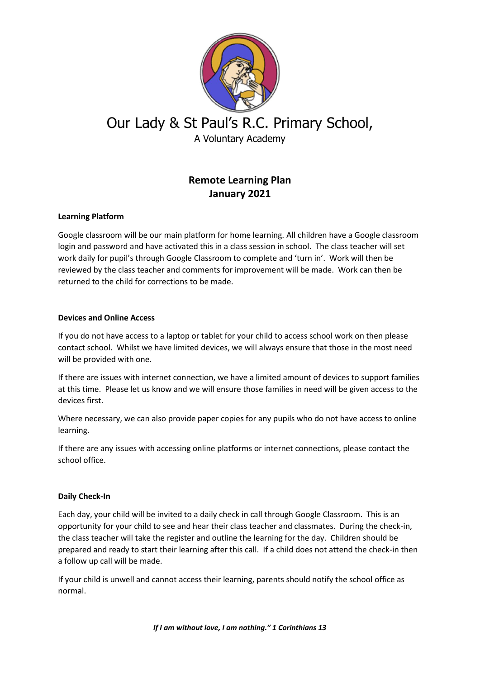

# Our Lady & St Paul's R.C. Primary School, A Voluntary Academy

## **Remote Learning Plan January 2021**

### **Learning Platform**

Google classroom will be our main platform for home learning. All children have a Google classroom login and password and have activated this in a class session in school. The class teacher will set work daily for pupil's through Google Classroom to complete and 'turn in'. Work will then be reviewed by the class teacher and comments for improvement will be made. Work can then be returned to the child for corrections to be made.

#### **Devices and Online Access**

If you do not have access to a laptop or tablet for your child to access school work on then please contact school. Whilst we have limited devices, we will always ensure that those in the most need will be provided with one.

If there are issues with internet connection, we have a limited amount of devices to support families at this time. Please let us know and we will ensure those families in need will be given access to the devices first.

Where necessary, we can also provide paper copies for any pupils who do not have access to online learning.

If there are any issues with accessing online platforms or internet connections, please contact the school office.

#### **Daily Check-In**

Each day, your child will be invited to a daily check in call through Google Classroom. This is an opportunity for your child to see and hear their class teacher and classmates. During the check-in, the class teacher will take the register and outline the learning for the day. Children should be prepared and ready to start their learning after this call. If a child does not attend the check-in then a follow up call will be made.

If your child is unwell and cannot access their learning, parents should notify the school office as normal.

*If I am without love, I am nothing." 1 Corinthians 13*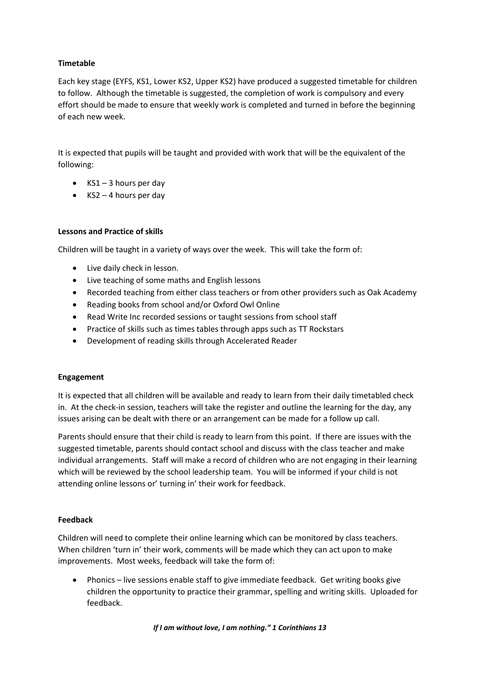#### **Timetable**

Each key stage (EYFS, KS1, Lower KS2, Upper KS2) have produced a suggested timetable for children to follow. Although the timetable is suggested, the completion of work is compulsory and every effort should be made to ensure that weekly work is completed and turned in before the beginning of each new week.

It is expected that pupils will be taught and provided with work that will be the equivalent of the following:

- $\bullet$  KS1 3 hours per day
- $\bullet$  KS2 4 hours per day

#### **Lessons and Practice of skills**

Children will be taught in a variety of ways over the week. This will take the form of:

- Live daily check in lesson.
- Live teaching of some maths and English lessons
- Recorded teaching from either class teachers or from other providers such as Oak Academy
- Reading books from school and/or Oxford Owl Online
- Read Write Inc recorded sessions or taught sessions from school staff
- Practice of skills such as times tables through apps such as TT Rockstars
- Development of reading skills through Accelerated Reader

#### **Engagement**

It is expected that all children will be available and ready to learn from their daily timetabled check in. At the check-in session, teachers will take the register and outline the learning for the day, any issues arising can be dealt with there or an arrangement can be made for a follow up call.

Parents should ensure that their child is ready to learn from this point. If there are issues with the suggested timetable, parents should contact school and discuss with the class teacher and make individual arrangements. Staff will make a record of children who are not engaging in their learning which will be reviewed by the school leadership team. You will be informed if your child is not attending online lessons or' turning in' their work for feedback.

#### **Feedback**

Children will need to complete their online learning which can be monitored by class teachers. When children 'turn in' their work, comments will be made which they can act upon to make improvements. Most weeks, feedback will take the form of:

 Phonics – live sessions enable staff to give immediate feedback. Get writing books give children the opportunity to practice their grammar, spelling and writing skills. Uploaded for feedback.